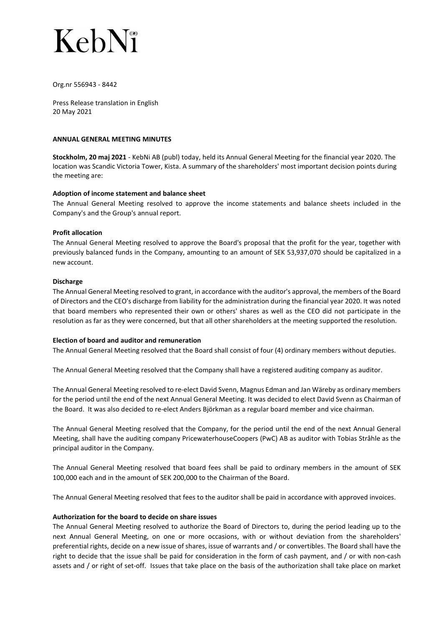## KebN<sup>®</sup>

#### Org.nr 556943 - 8442

Press Release translation in English 20 May 2021

#### ANNUAL GENERAL MEETING MINUTES

Stockholm, 20 maj 2021 - KebNi AB (publ) today, held its Annual General Meeting for the financial year 2020. The location was Scandic Victoria Tower, Kista. A summary of the shareholders' most important decision points during the meeting are:

### Adoption of income statement and balance sheet

The Annual General Meeting resolved to approve the income statements and balance sheets included in the Company's and the Group's annual report.

#### Profit allocation

The Annual General Meeting resolved to approve the Board's proposal that the profit for the year, together with previously balanced funds in the Company, amounting to an amount of SEK 53,937,070 should be capitalized in a new account.

#### **Discharge**

The Annual General Meeting resolved to grant, in accordance with the auditor's approval, the members of the Board of Directors and the CEO's discharge from liability for the administration during the financial year 2020. It was noted that board members who represented their own or others' shares as well as the CEO did not participate in the resolution as far as they were concerned, but that all other shareholders at the meeting supported the resolution.

#### Election of board and auditor and remuneration

The Annual General Meeting resolved that the Board shall consist of four (4) ordinary members without deputies.

The Annual General Meeting resolved that the Company shall have a registered auditing company as auditor.

The Annual General Meeting resolved to re-elect David Svenn, Magnus Edman and Jan Wäreby as ordinary members for the period until the end of the next Annual General Meeting. It was decided to elect David Svenn as Chairman of the Board. It was also decided to re-elect Anders Björkman as a regular board member and vice chairman.

The Annual General Meeting resolved that the Company, for the period until the end of the next Annual General Meeting, shall have the auditing company PricewaterhouseCoopers (PwC) AB as auditor with Tobias Stråhle as the principal auditor in the Company.

The Annual General Meeting resolved that board fees shall be paid to ordinary members in the amount of SEK 100,000 each and in the amount of SEK 200,000 to the Chairman of the Board.

The Annual General Meeting resolved that fees to the auditor shall be paid in accordance with approved invoices.

#### Authorization for the board to decide on share issues

The Annual General Meeting resolved to authorize the Board of Directors to, during the period leading up to the next Annual General Meeting, on one or more occasions, with or without deviation from the shareholders' preferential rights, decide on a new issue of shares, issue of warrants and / or convertibles. The Board shall have the right to decide that the issue shall be paid for consideration in the form of cash payment, and / or with non-cash assets and / or right of set-off. Issues that take place on the basis of the authorization shall take place on market